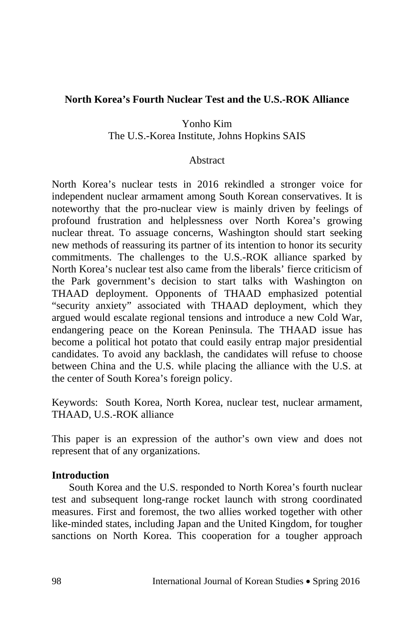## **North Korea's Fourth Nuclear Test and the U.S.-ROK Alliance**

Yonho Kim The U.S.-Korea Institute, Johns Hopkins SAIS

#### Abstract

North Korea's nuclear tests in 2016 rekindled a stronger voice for independent nuclear armament among South Korean conservatives. It is noteworthy that the pro-nuclear view is mainly driven by feelings of profound frustration and helplessness over North Korea's growing nuclear threat. To assuage concerns, Washington should start seeking new methods of reassuring its partner of its intention to honor its security commitments. The challenges to the U.S.-ROK alliance sparked by North Korea's nuclear test also came from the liberals' fierce criticism of the Park government's decision to start talks with Washington on THAAD deployment. Opponents of THAAD emphasized potential "security anxiety" associated with THAAD deployment, which they argued would escalate regional tensions and introduce a new Cold War, endangering peace on the Korean Peninsula. The THAAD issue has become a political hot potato that could easily entrap major presidential candidates. To avoid any backlash, the candidates will refuse to choose between China and the U.S. while placing the alliance with the U.S. at the center of South Korea's foreign policy.

Keywords: South Korea, North Korea, nuclear test, nuclear armament, THAAD, U.S.-ROK alliance

This paper is an expression of the author's own view and does not represent that of any organizations.

#### **Introduction**

South Korea and the U.S. responded to North Korea's fourth nuclear test and subsequent long-range rocket launch with strong coordinated measures. First and foremost, the two allies worked together with other like-minded states, including Japan and the United Kingdom, for tougher sanctions on North Korea. This cooperation for a tougher approach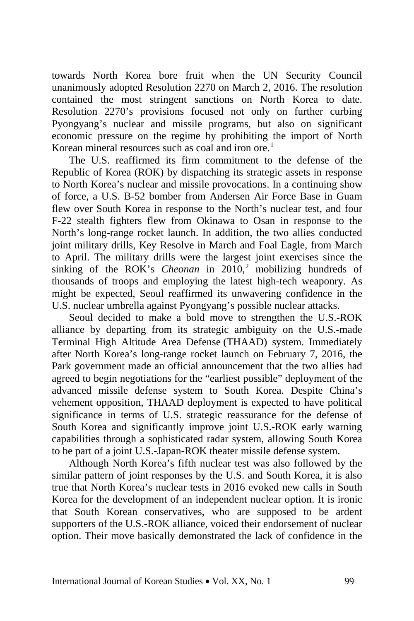towards North Korea bore fruit when the UN Security Council unanimously adopted Resolution 2270 on March 2, 2016. The resolution contained the most stringent sanctions on North Korea to date. Resolution 2270's provisions focused not only on further curbing Pyongyang's nuclear and missile programs, but also on significant economic pressure on the regime by prohibiting the import of North Korean mineral resources such as coal and iron ore.<sup>[1](#page--1-0)</sup>

The U.S. reaffirmed its firm commitment to the defense of the Republic of Korea (ROK) by dispatching its strategic assets in response to North Korea's nuclear and missile provocations. In a continuing show of force, a U.S. B-52 bomber from Andersen Air Force Base in Guam flew over South Korea in response to the North's nuclear test, and four F-22 stealth fighters flew from Okinawa to Osan in response to the North's long-range rocket launch. In addition, the two allies conducted joint military drills, Key Resolve in March and Foal Eagle, from March to April. The military drills were the largest joint exercises since the sinking of the ROK's *Cheonan* in  $2010<sup>2</sup>$  $2010<sup>2</sup>$  mobilizing hundreds of thousands of troops and employing the latest high-tech weaponry. As might be expected, Seoul reaffirmed its unwavering confidence in the U.S. nuclear umbrella against Pyongyang's possible nuclear attacks.

Seoul decided to make a bold move to strengthen the U.S.-ROK alliance by departing from its strategic ambiguity on the U.S.-made Terminal High Altitude Area Defense (THAAD) system. Immediately after North Korea's long-range rocket launch on February 7, 2016, the Park government made an official announcement that the two allies had agreed to begin negotiations for the "earliest possible" deployment of the advanced missile defense system to South Korea. Despite China's vehement opposition, THAAD deployment is expected to have political significance in terms of U.S. strategic reassurance for the defense of South Korea and significantly improve joint U.S.-ROK early warning capabilities through a sophisticated radar system, allowing South Korea to be part of a joint U.S.-Japan-ROK theater missile defense system.

Although North Korea's fifth nuclear test was also followed by the similar pattern of joint responses by the U.S. and South Korea, it is also true that North Korea's nuclear tests in 2016 evoked new calls in South Korea for the development of an independent nuclear option. It is ironic that South Korean conservatives, who are supposed to be ardent supporters of the U.S.-ROK alliance, voiced their endorsement of nuclear option. Their move basically demonstrated the lack of confidence in the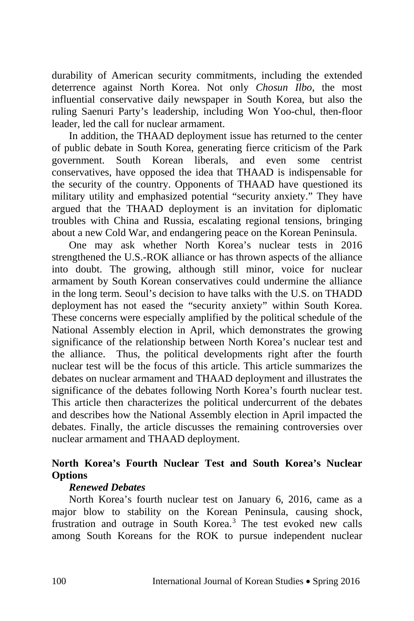durability of American security commitments, including the extended deterrence against North Korea. Not only *Chosun Ilbo*, the most influential conservative daily newspaper in South Korea, but also the ruling Saenuri Party's leadership, including Won Yoo-chul, then-floor leader, led the call for nuclear armament.

In addition, the THAAD deployment issue has returned to the center of public debate in South Korea, generating fierce criticism of the Park government. South Korean liberals, and even some centrist conservatives, have opposed the idea that THAAD is indispensable for the security of the country. Opponents of THAAD have questioned its military utility and emphasized potential "security anxiety." They have argued that the THAAD deployment is an invitation for diplomatic troubles with China and Russia, escalating regional tensions, bringing about a new Cold War, and endangering peace on the Korean Peninsula.

One may ask whether North Korea's nuclear tests in 2016 strengthened the U.S.-ROK alliance or has thrown aspects of the alliance into doubt. The growing, although still minor, voice for nuclear armament by South Korean conservatives could undermine the alliance in the long term. Seoul's decision to have talks with the U.S. on THADD deployment has not eased the "security anxiety" within South Korea. These concerns were especially amplified by the political schedule of the National Assembly election in April, which demonstrates the growing significance of the relationship between North Korea's nuclear test and the alliance. Thus, the political developments right after the fourth nuclear test will be the focus of this article. This article summarizes the debates on nuclear armament and THAAD deployment and illustrates the significance of the debates following North Korea's fourth nuclear test. This article then characterizes the political undercurrent of the debates and describes how the National Assembly election in April impacted the debates. Finally, the article discusses the remaining controversies over nuclear armament and THAAD deployment.

# **North Korea's Fourth Nuclear Test and South Korea's Nuclear Options**

## *Renewed Debates*

North Korea's fourth nuclear test on January 6, 2016, came as a major blow to stability on the Korean Peninsula, causing shock, frustration and outrage in South Korea. [3](#page--1-2) The test evoked new calls among South Koreans for the ROK to pursue independent nuclear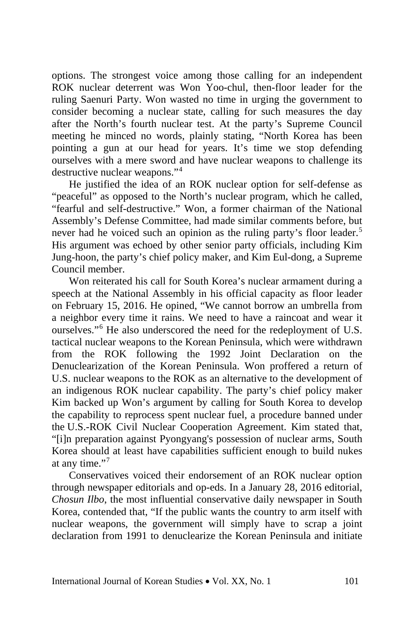options. The strongest voice among those calling for an independent ROK nuclear deterrent was Won Yoo-chul, then-floor leader for the ruling Saenuri Party. Won wasted no time in urging the government to consider becoming a nuclear state, calling for such measures the day after the North's fourth nuclear test. At the party's Supreme Council meeting he minced no words, plainly stating, "North Korea has been pointing a gun at our head for years. It's time we stop defending ourselves with a mere sword and have nuclear weapons to challenge its destructive nuclear weapons."[4](#page--1-3)

He justified the idea of an ROK nuclear option for self-defense as "peaceful" as opposed to the North's nuclear program, which he called, "fearful and self-destructive." Won, a former chairman of the National Assembly's Defense Committee, had made similar comments before, but never had he voiced such an opinion as the ruling party's floor leader.<sup>[5](#page--1-4)</sup> His argument was echoed by other senior party officials, including Kim Jung-hoon, the party's chief policy maker, and Kim Eul-dong, a Supreme Council member.

Won reiterated his call for South Korea's nuclear armament during a speech at the National Assembly in his official capacity as floor leader on February 15, 2016. He opined, "We cannot borrow an umbrella from a neighbor every time it rains. We need to have a raincoat and wear it ourselves."[6](#page--1-5) He also underscored the need for the redeployment of U.S. tactical nuclear weapons to the Korean Peninsula, which were withdrawn from the ROK following the 1992 Joint Declaration on the Denuclearization of the Korean Peninsula. Won proffered a return of U.S. nuclear weapons to the ROK as an alternative to the development of an indigenous ROK nuclear capability. The party's chief policy maker Kim backed up Won's argument by calling for South Korea to develop the capability to reprocess spent nuclear fuel, a procedure banned under the U.S.-ROK Civil Nuclear Cooperation Agreement. Kim stated that, "[i]n preparation against Pyongyang's possession of nuclear arms, South Korea should at least have capabilities sufficient enough to build nukes at any time."<sup>[7](#page--1-6)</sup>

Conservatives voiced their endorsement of an ROK nuclear option through newspaper editorials and op-eds. In a January 28, 2016 editorial, *Chosun Ilbo*, the most influential conservative daily newspaper in South Korea, contended that, "If the public wants the country to arm itself with nuclear weapons, the government will simply have to scrap a joint declaration from 1991 to denuclearize the Korean Peninsula and initiate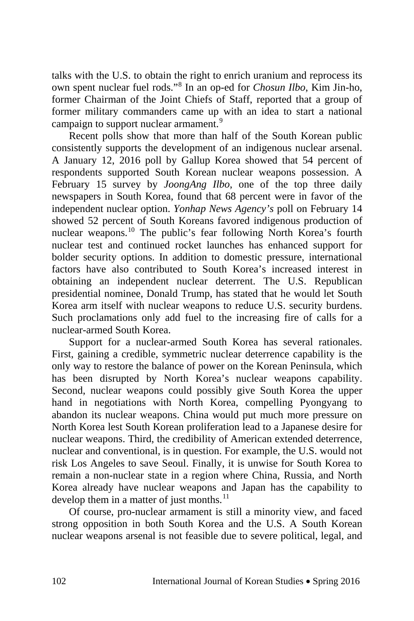talks with the U.S. to obtain the right to enrich uranium and reprocess its own spent nuclear fuel rods."[8](#page--1-7) In an op-ed for *Chosun Ilbo*, Kim Jin-ho, former Chairman of the Joint Chiefs of Staff, reported that a group of former military commanders came up with an idea to start a national campaign to support nuclear armament.<sup>[9](#page--1-8)</sup>

Recent polls show that more than half of the South Korean public consistently supports the development of an indigenous nuclear arsenal. A January 12, 2016 poll by Gallup Korea showed that 54 percent of respondents supported South Korean nuclear weapons possession. A February 15 survey by *JoongAng Ilbo*, one of the top three daily newspapers in South Korea, found that 68 percent were in favor of the independent nuclear option. *Yonhap News Agency's* poll on February 14 showed 52 percent of South Koreans favored indigenous production of nuclear weapons.[10](#page--1-9) The public's fear following North Korea's fourth nuclear test and continued rocket launches has enhanced support for bolder security options. In addition to domestic pressure, international factors have also contributed to South Korea's increased interest in obtaining an independent nuclear deterrent. The U.S. Republican presidential nominee, Donald Trump, has stated that he would let South Korea arm itself with nuclear weapons to reduce U.S. security burdens. Such proclamations only add fuel to the increasing fire of calls for a nuclear-armed South Korea.

Support for a nuclear-armed South Korea has several rationales. First, gaining a credible, symmetric nuclear deterrence capability is the only way to restore the balance of power on the Korean Peninsula, which has been disrupted by North Korea's nuclear weapons capability. Second, nuclear weapons could possibly give South Korea the upper hand in negotiations with North Korea, compelling Pyongyang to abandon its nuclear weapons. China would put much more pressure on North Korea lest South Korean proliferation lead to a Japanese desire for nuclear weapons. Third, the credibility of American extended deterrence, nuclear and conventional, is in question. For example, the U.S. would not risk Los Angeles to save Seoul. Finally, it is unwise for South Korea to remain a non-nuclear state in a region where China, Russia, and North Korea already have nuclear weapons and Japan has the capability to develop them in a matter of just months.<sup>[11](#page--1-10)</sup>

Of course, pro-nuclear armament is still a minority view, and faced strong opposition in both South Korea and the U.S. A South Korean nuclear weapons arsenal is not feasible due to severe political, legal, and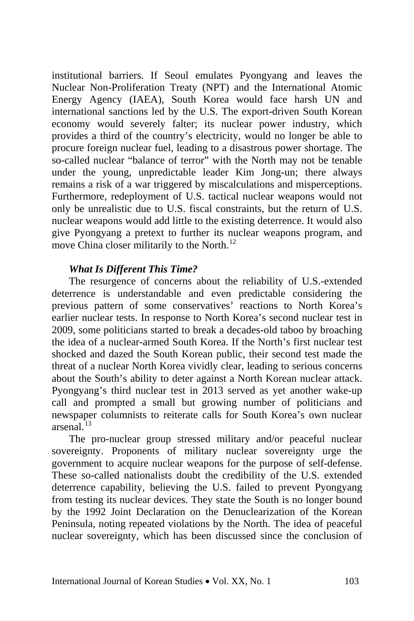institutional barriers. If Seoul emulates Pyongyang and leaves the Nuclear Non-Proliferation Treaty (NPT) and the International Atomic Energy Agency (IAEA), South Korea would face harsh UN and international sanctions led by the U.S. The export-driven South Korean economy would severely falter; its nuclear power industry, which provides a third of the country's electricity, would no longer be able to procure foreign nuclear fuel, leading to a disastrous power shortage. The so-called nuclear "balance of terror" with the North may not be tenable under the young, unpredictable leader Kim Jong-un; there always remains a risk of a war triggered by miscalculations and misperceptions. Furthermore, redeployment of U.S. tactical nuclear weapons would not only be unrealistic due to U.S. fiscal constraints, but the return of U.S. nuclear weapons would add little to the existing deterrence. It would also give Pyongyang a pretext to further its nuclear weapons program, and move China closer militarily to the North.<sup>[12](#page--1-11)</sup>

### *What Is Different This Time?*

The resurgence of concerns about the reliability of U.S.-extended deterrence is understandable and even predictable considering the previous pattern of some conservatives' reactions to North Korea's earlier nuclear tests. In response to North Korea's second nuclear test in 2009, some politicians started to break a decades-old taboo by broaching the idea of a nuclear-armed South Korea. If the North's first nuclear test shocked and dazed the South Korean public, their second test made the threat of a nuclear North Korea vividly clear, leading to serious concerns about the South's ability to deter against a North Korean nuclear attack. Pyongyang's third nuclear test in 2013 served as yet another wake-up call and prompted a small but growing number of politicians and newspaper columnists to reiterate calls for South Korea's own nuclear  $arsenal.<sup>13</sup>$  $arsenal.<sup>13</sup>$  $arsenal.<sup>13</sup>$ 

The pro-nuclear group stressed military and/or peaceful nuclear sovereignty. Proponents of military nuclear sovereignty urge the government to acquire nuclear weapons for the purpose of self-defense. These so-called nationalists doubt the credibility of the U.S. extended deterrence capability, believing the U.S. failed to prevent Pyongyang from testing its nuclear devices. They state the South is no longer bound by the 1992 Joint Declaration on the Denuclearization of the Korean Peninsula, noting repeated violations by the North. The idea of peaceful nuclear sovereignty, which has been discussed since the conclusion of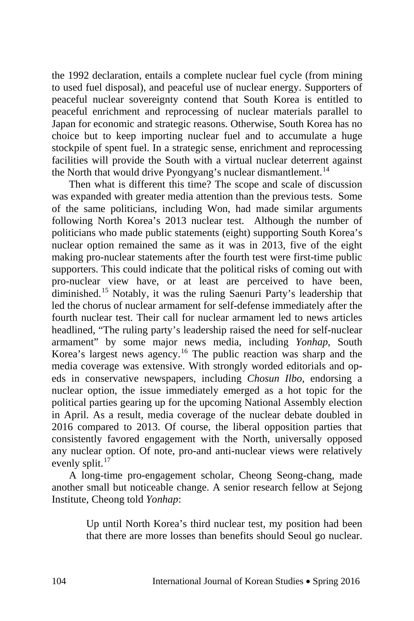the 1992 declaration, entails a complete nuclear fuel cycle (from mining to used fuel disposal), and peaceful use of nuclear energy. Supporters of peaceful nuclear sovereignty contend that South Korea is entitled to peaceful enrichment and reprocessing of nuclear materials parallel to Japan for economic and strategic reasons. Otherwise, South Korea has no choice but to keep importing nuclear fuel and to accumulate a huge stockpile of spent fuel. In a strategic sense, enrichment and reprocessing facilities will provide the South with a virtual nuclear deterrent against the North that would drive Pyongyang's nuclear dismantlement.<sup>[14](#page--1-13)</sup>

Then what is different this time? The scope and scale of discussion was expanded with greater media attention than the previous tests. Some of the same politicians, including Won, had made similar arguments following North Korea's 2013 nuclear test. Although the number of politicians who made public statements (eight) supporting South Korea's nuclear option remained the same as it was in 2013, five of the eight making pro-nuclear statements after the fourth test were first-time public supporters. This could indicate that the political risks of coming out with pro-nuclear view have, or at least are perceived to have been, diminished.[15](#page--1-14) Notably, it was the ruling Saenuri Party's leadership that led the chorus of nuclear armament for self-defense immediately after the fourth nuclear test. Their call for nuclear armament led to news articles headlined, "The ruling party's leadership raised the need for self-nuclear armament" by some major news media, including *Yonhap*, South Korea's largest news agency.[16](#page--1-15) The public reaction was sharp and the media coverage was extensive. With strongly worded editorials and opeds in conservative newspapers, including *Chosun Ilbo*, endorsing a nuclear option, the issue immediately emerged as a hot topic for the political parties gearing up for the upcoming National Assembly election in April. As a result, media coverage of the nuclear debate doubled in 2016 compared to 2013. Of course, the liberal opposition parties that consistently favored engagement with the North, universally opposed any nuclear option. Of note, pro-and anti-nuclear views were relatively evenly split.<sup>[17](#page--1-16)</sup>

A long-time pro-engagement scholar, Cheong Seong-chang, made another small but noticeable change. A senior research fellow at Sejong Institute, Cheong told *Yonhap*:

> Up until North Korea's third nuclear test, my position had been that there are more losses than benefits should Seoul go nuclear.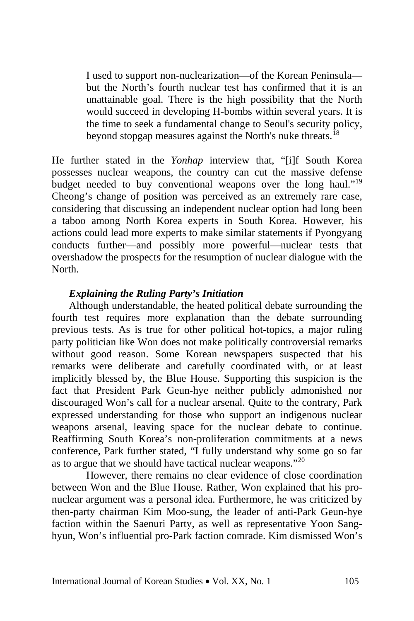I used to support non-nuclearization—of the Korean Peninsula but the North's fourth nuclear test has confirmed that it is an unattainable goal. There is the high possibility that the North would succeed in developing H-bombs within several years. It is the time to seek a fundamental change to Seoul's security policy, beyond stopgap measures against the North's nuke threats.[18](#page--1-9)

He further stated in the *Yonhap* interview that, "[i]f South Korea possesses nuclear weapons, the country can cut the massive defense budget needed to buy conventional weapons over the long haul."<sup>[19](#page--1-17)</sup> Cheong's change of position was perceived as an extremely rare case, considering that discussing an independent nuclear option had long been a taboo among North Korea experts in South Korea. However, his actions could lead more experts to make similar statements if Pyongyang conducts further—and possibly more powerful—nuclear tests that overshadow the prospects for the resumption of nuclear dialogue with the North.

#### *Explaining the Ruling Party's Initiation*

Although understandable, the heated political debate surrounding the fourth test requires more explanation than the debate surrounding previous tests. As is true for other political hot-topics, a major ruling party politician like Won does not make politically controversial remarks without good reason. Some Korean newspapers suspected that his remarks were deliberate and carefully coordinated with, or at least implicitly blessed by, the Blue House. Supporting this suspicion is the fact that President Park Geun-hye neither publicly admonished nor discouraged Won's call for a nuclear arsenal. Quite to the contrary, Park expressed understanding for those who support an indigenous nuclear weapons arsenal, leaving space for the nuclear debate to continue. Reaffirming South Korea's non-proliferation commitments at a news conference, Park further stated, "I fully understand why some go so far as to argue that we should have tactical nuclear weapons."[20](#page--1-18)

However, there remains no clear evidence of close coordination between Won and the Blue House. Rather, Won explained that his pronuclear argument was a personal idea. Furthermore, he was criticized by then-party chairman Kim Moo-sung, the leader of anti-Park Geun-hye faction within the Saenuri Party, as well as representative Yoon Sanghyun, Won's influential pro-Park faction comrade. Kim dismissed Won's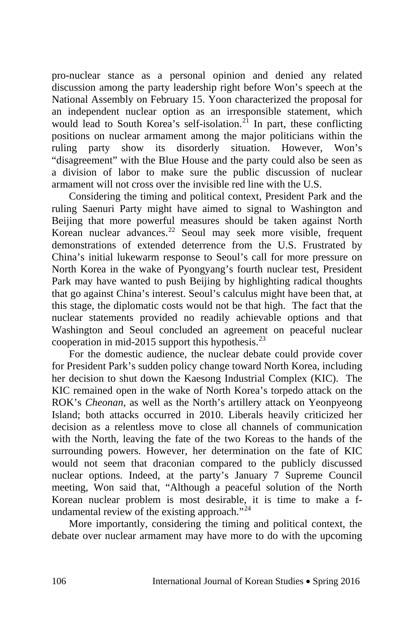pro-nuclear stance as a personal opinion and denied any related discussion among the party leadership right before Won's speech at the National Assembly on February 15. Yoon characterized the proposal for an independent nuclear option as an irresponsible statement, which would lead to South Korea's self-isolation.<sup>[21](#page--1-19)</sup> In part, these conflicting positions on nuclear armament among the major politicians within the ruling party show its disorderly situation. However, Won's "disagreement" with the Blue House and the party could also be seen as a division of labor to make sure the public discussion of nuclear armament will not cross over the invisible red line with the U.S.

Considering the timing and political context, President Park and the ruling Saenuri Party might have aimed to signal to Washington and Beijing that more powerful measures should be taken against North Korean nuclear advances.<sup>[22](#page--1-20)</sup> Seoul may seek more visible, frequent demonstrations of extended deterrence from the U.S. Frustrated by China's initial lukewarm response to Seoul's call for more pressure on North Korea in the wake of Pyongyang's fourth nuclear test, President Park may have wanted to push Beijing by highlighting radical thoughts that go against China's interest. Seoul's calculus might have been that, at this stage, the diplomatic costs would not be that high. The fact that the nuclear statements provided no readily achievable options and that Washington and Seoul concluded an agreement on peaceful nuclear cooperation in mid-2015 support this hypothesis.[23](#page--1-21)

For the domestic audience, the nuclear debate could provide cover for President Park's sudden policy change toward North Korea, including her decision to shut down the Kaesong Industrial Complex (KIC). The KIC remained open in the wake of North Korea's torpedo attack on the ROK's *Cheonan*, as well as the North's artillery attack on Yeonpyeong Island; both attacks occurred in 2010. Liberals heavily criticized her decision as a relentless move to close all channels of communication with the North, leaving the fate of the two Koreas to the hands of the surrounding powers. However, her determination on the fate of KIC would not seem that draconian compared to the publicly discussed nuclear options. Indeed, at the party's January 7 Supreme Council meeting, Won said that, "Although a peaceful solution of the North Korean nuclear problem is most desirable, it is time to make a f-undamental review of the existing approach."<sup>[24](#page--1-22)</sup>

More importantly, considering the timing and political context, the debate over nuclear armament may have more to do with the upcoming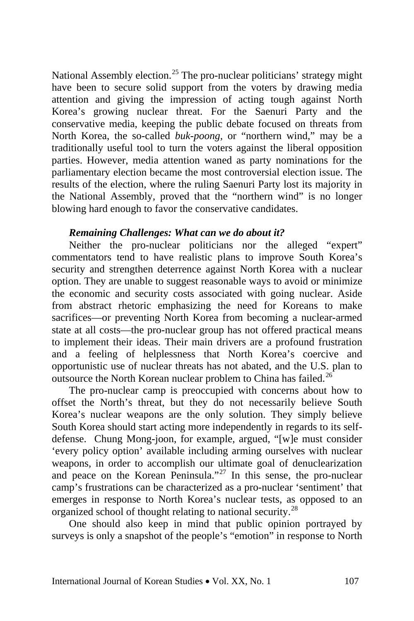National Assembly election.<sup>[25](#page--1-23)</sup> The pro-nuclear politicians' strategy might have been to secure solid support from the voters by drawing media attention and giving the impression of acting tough against North Korea's growing nuclear threat. For the Saenuri Party and the conservative media, keeping the public debate focused on threats from North Korea, the so-called *buk-poong,* or "northern wind," may be a traditionally useful tool to turn the voters against the liberal opposition parties. However, media attention waned as party nominations for the parliamentary election became the most controversial election issue. The results of the election, where the ruling Saenuri Party lost its majority in the National Assembly, proved that the "northern wind" is no longer blowing hard enough to favor the conservative candidates.

#### *Remaining Challenges: What can we do about it?*

Neither the pro-nuclear politicians nor the alleged "expert" commentators tend to have realistic plans to improve South Korea's security and strengthen deterrence against North Korea with a nuclear option. They are unable to suggest reasonable ways to avoid or minimize the economic and security costs associated with going nuclear. Aside from abstract rhetoric emphasizing the need for Koreans to make sacrifices—or preventing North Korea from becoming a nuclear-armed state at all costs—the pro-nuclear group has not offered practical means to implement their ideas. Their main drivers are a profound frustration and a feeling of helplessness that North Korea's coercive and opportunistic use of nuclear threats has not abated, and the U.S. plan to outsource the North Korean nuclear problem to China has failed.<sup>[26](#page--1-24)</sup>

The pro-nuclear camp is preoccupied with concerns about how to offset the North's threat, but they do not necessarily believe South Korea's nuclear weapons are the only solution. They simply believe South Korea should start acting more independently in regards to its selfdefense. Chung Mong-joon, for example, argued, "[w]e must consider 'every policy option' available including arming ourselves with nuclear weapons, in order to accomplish our ultimate goal of denuclearization and peace on the Korean Peninsula."[27](#page--1-25) In this sense, the pro-nuclear camp's frustrations can be characterized as a pro-nuclear 'sentiment' that emerges in response to North Korea's nuclear tests, as opposed to an organized school of thought relating to national security.[28](#page--1-26)

One should also keep in mind that public opinion portrayed by surveys is only a snapshot of the people's "emotion" in response to North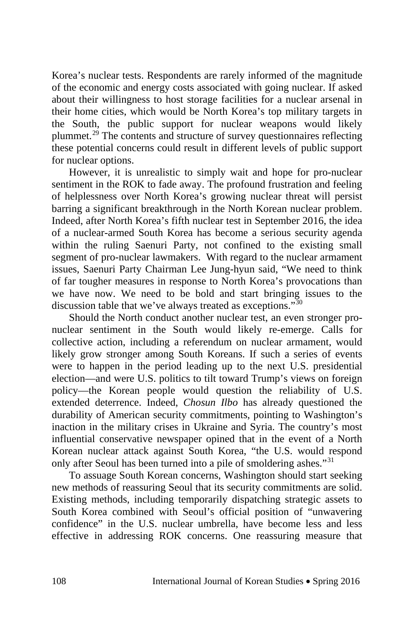Korea's nuclear tests. Respondents are rarely informed of the magnitude of the economic and energy costs associated with going nuclear. If asked about their willingness to host storage facilities for a nuclear arsenal in their home cities, which would be North Korea's top military targets in the South, the public support for nuclear weapons would likely plummet.[29](#page--1-27) The contents and structure of survey questionnaires reflecting these potential concerns could result in different levels of public support for nuclear options.

However, it is unrealistic to simply wait and hope for pro-nuclear sentiment in the ROK to fade away. The profound frustration and feeling of helplessness over North Korea's growing nuclear threat will persist barring a significant breakthrough in the North Korean nuclear problem. Indeed, after North Korea's fifth nuclear test in September 2016, the idea of a nuclear-armed South Korea has become a serious security agenda within the ruling Saenuri Party, not confined to the existing small segment of pro-nuclear lawmakers. With regard to the nuclear armament issues, Saenuri Party Chairman Lee Jung-hyun said, "We need to think of far tougher measures in response to North Korea's provocations than we have now. We need to be bold and start bringing issues to the discussion table that we've always treated as exceptions."<sup>[30](#page--1-28)</sup>

Should the North conduct another nuclear test, an even stronger pronuclear sentiment in the South would likely re-emerge. Calls for collective action, including a referendum on nuclear armament, would likely grow stronger among South Koreans. If such a series of events were to happen in the period leading up to the next U.S. presidential election—and were U.S. politics to tilt toward Trump's views on foreign policy—the Korean people would question the reliability of U.S. extended deterrence. Indeed, *Chosun Ilbo* has already questioned the durability of American security commitments, pointing to Washington's inaction in the military crises in Ukraine and Syria. The country's most influential conservative newspaper opined that in the event of a North Korean nuclear attack against South Korea, "the U.S. would respond only after Seoul has been turned into a pile of smoldering ashes."<sup>[31](#page--1-29)</sup>

To assuage South Korean concerns, Washington should start seeking new methods of reassuring Seoul that its security commitments are solid. Existing methods, including temporarily dispatching strategic assets to South Korea combined with Seoul's official position of "unwavering confidence" in the U.S. nuclear umbrella, have become less and less effective in addressing ROK concerns. One reassuring measure that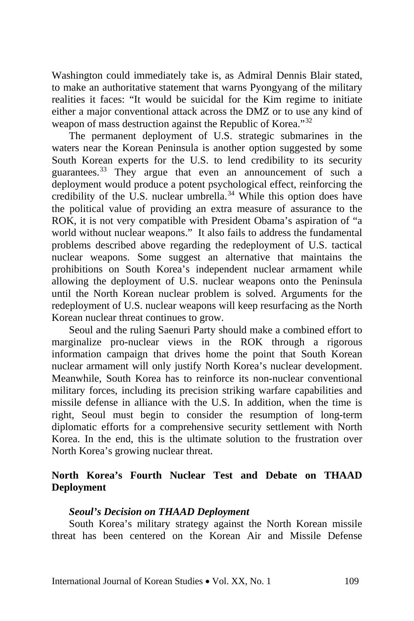Washington could immediately take is, as Admiral Dennis Blair stated, to make an authoritative statement that warns Pyongyang of the military realities it faces: "It would be suicidal for the Kim regime to initiate either a major conventional attack across the DMZ or to use any kind of weapon of mass destruction against the Republic of Korea."[32](#page--1-30)

The permanent deployment of U.S. strategic submarines in the waters near the Korean Peninsula is another option suggested by some South Korean experts for the U.S. to lend credibility to its security guarantees.<sup>[33](#page--1-31)</sup> They argue that even an announcement of such a deployment would produce a potent psychological effect, reinforcing the credibility of the U.S. nuclear umbrella.<sup>[34](#page--1-32)</sup> While this option does have the political value of providing an extra measure of assurance to the ROK, it is not very compatible with President Obama's aspiration of "a world without nuclear weapons." It also fails to address the fundamental problems described above regarding the redeployment of U.S. tactical nuclear weapons. Some suggest an alternative that maintains the prohibitions on South Korea's independent nuclear armament while allowing the deployment of U.S. nuclear weapons onto the Peninsula until the North Korean nuclear problem is solved. Arguments for the redeployment of U.S. nuclear weapons will keep resurfacing as the North Korean nuclear threat continues to grow.

Seoul and the ruling Saenuri Party should make a combined effort to marginalize pro-nuclear views in the ROK through a rigorous information campaign that drives home the point that South Korean nuclear armament will only justify North Korea's nuclear development. Meanwhile, South Korea has to reinforce its non-nuclear conventional military forces, including its precision striking warfare capabilities and missile defense in alliance with the U.S. In addition, when the time is right, Seoul must begin to consider the resumption of long-term diplomatic efforts for a comprehensive security settlement with North Korea. In the end, this is the ultimate solution to the frustration over North Korea's growing nuclear threat.

# **North Korea's Fourth Nuclear Test and Debate on THAAD Deployment**

#### *Seoul's Decision on THAAD Deployment*

South Korea's military strategy against the North Korean missile threat has been centered on the Korean Air and Missile Defense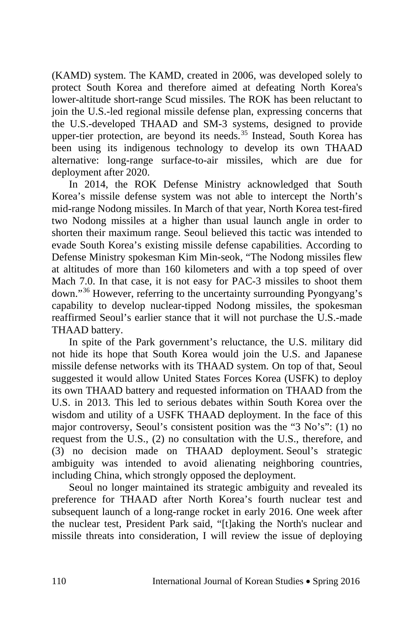(KAMD) system. The KAMD, created in 2006, was developed solely to protect South Korea and therefore aimed at defeating North Korea's lower-altitude short-range Scud missiles. The ROK has been reluctant to join the U.S.-led regional missile defense plan, expressing concerns that the U.S.-developed THAAD and SM-3 systems, designed to provide upper-tier protection, are beyond its needs.<sup>[35](#page--1-33)</sup> Instead, South Korea has been using its indigenous technology to develop its own THAAD alternative: [long-range surface-to-air missiles,](http://www.nti.org/gsn/article/south-korea-outlines-plan-indigenously-develop-long-range-interceptor/) which are due for deployment after 2020.

In 2014, the ROK Defense Ministry acknowledged that South Korea's missile defense system was not able to intercept the North's mid-range Nodong missiles. In March of that year, North Korea test-fired two Nodong missiles at a higher than usual launch angle in order to shorten their maximum range. Seoul believed this tactic was intended to evade South Korea's existing missile defense capabilities. According to Defense Ministry spokesman Kim Min-seok, "The Nodong missiles flew at altitudes of more than 160 kilometers and with a top speed of over Mach 7.0. In that case, it is not easy for PAC-3 missiles to shoot them down."[36](#page--1-34) However, referring to the uncertainty surrounding Pyongyang's capability to develop nuclear-tipped Nodong missiles, the spokesman reaffirmed Seoul's earlier stance that it will not purchase the U.S.-made THAAD battery.

In spite of the Park government's reluctance, the U.S. military did not hide its hope that South Korea would join the U.S. and Japanese missile defense networks with its THAAD system. On top of that, Seoul suggested it would allow United States Forces Korea (USFK) to deploy its own THAAD battery and [requested information on THAAD](http://www.armyrecognition.com/october_2013_defense_industry_military_news_uk/army_of_south_korea_shows_interest_for_the_u.s._thaad_terminal_high_altitude_area_defense_1810132.html) from the U.S. in 2013. This led to serious debates within South Korea over the wisdom and utility of a USFK THAAD deployment. In the face of this major controversy, Seoul's consistent position was the "3 No's": (1) no request from the U.S., (2) no consultation with the U.S., therefore, and (3) no decision made on THAAD deployment. Seoul's strategic ambiguity was intended to avoid alienating neighboring countries, including China, which strongly opposed the deployment.

Seoul no longer maintained its strategic ambiguity and revealed its preference for THAAD after North Korea's fourth nuclear test and subsequent launch of a long-range rocket in early 2016. One week after the nuclear test, President Park said, "[t]aking the North's nuclear and missile threats into consideration, I will review the issue of deploying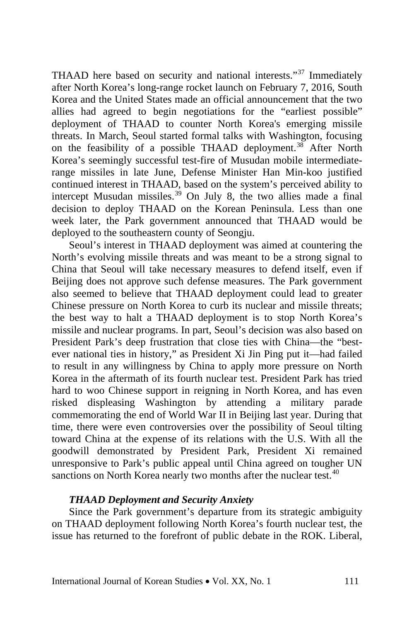THAAD here based on security and national interests."[37](#page--1-35) Immediately after North Korea's long-range rocket launch on February 7, 2016, South Korea and the United States made an official announcement that the two allies had agreed to begin negotiations for the "earliest possible" deployment of THAAD to counter North Korea's emerging missile threats. In March, Seoul started formal talks with Washington, focusing on the feasibility of a possible THAAD deployment.<sup>[38](#page--1-36)</sup> After North Korea's seemingly successful test-fire of Musudan mobile intermediaterange missiles in late June, Defense Minister Han Min-koo justified continued interest in THAAD, based on the system's perceived ability to intercept Musudan missiles.<sup>[39](#page--1-23)</sup> On July 8, the two allies made a final decision to deploy THAAD on the Korean Peninsula. Less than one week later, the Park government announced that THAAD would be deployed to the southeastern county of Seongju.

Seoul's interest in THAAD deployment was aimed at countering the North's evolving missile threats and was meant to be a strong signal to China that Seoul will take necessary measures to defend itself, even if Beijing does not approve such defense measures. The Park government also seemed to believe that THAAD deployment could lead to greater Chinese pressure on North Korea to curb its nuclear and missile threats; the best way to halt a THAAD deployment is to stop North Korea's missile and nuclear programs. In part, Seoul's decision was also based on President Park's deep frustration that close ties with China—the "bestever national ties in history," as President Xi Jin Ping put it—had failed to result in any willingness by China to apply more pressure on North Korea in the aftermath of its fourth nuclear test. President Park has tried hard to woo Chinese support in reigning in North Korea, and has even risked displeasing Washington by attending a military parade commemorating the end of World War II in Beijing last year. During that time, there were even controversies over the possibility of Seoul tilting toward China at the expense of its relations with the U.S. With all the goodwill demonstrated by President Park, President Xi remained unresponsive to Park's public appeal until China agreed on tougher UN sanctions on North Korea nearly two months after the nuclear test.<sup>[40](#page--1-24)</sup>

#### *THAAD Deployment and Security Anxiety*

Since the Park government's departure from its strategic ambiguity on THAAD deployment following North Korea's fourth nuclear test, the issue has returned to the forefront of public debate in the ROK. Liberal,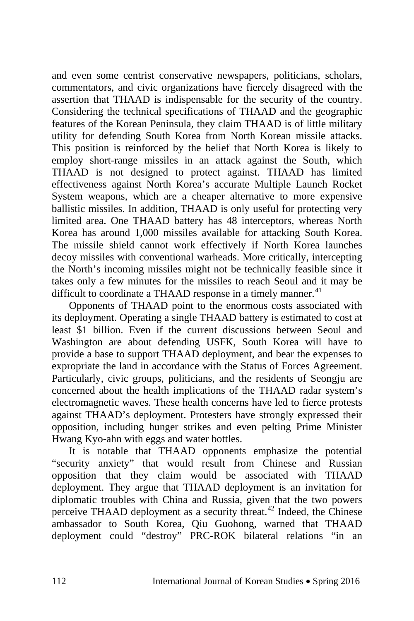and even some centrist conservative newspapers, politicians, scholars, commentators, and civic organizations have fiercely disagreed with the assertion that THAAD is indispensable for the security of the country. Considering the technical specifications of THAAD and the geographic features of the Korean Peninsula, they claim THAAD is of little military utility for defending South Korea from North Korean missile attacks. This position is reinforced by the belief that North Korea is likely to employ short-range missiles in an attack against the South, which THAAD is not designed to protect against. THAAD has limited effectiveness against North Korea's accurate Multiple Launch Rocket System weapons, which are a cheaper alternative to more expensive ballistic missiles. In addition, THAAD is only useful for protecting very limited area. One THAAD battery has 48 interceptors, whereas North Korea has around 1,000 missiles available for attacking South Korea. The missile shield cannot work effectively if North Korea launches decoy missiles with conventional warheads. More critically, intercepting the North's incoming missiles might not be technically feasible since it takes only a few minutes for the missiles to reach Seoul and it may be difficult to coordinate a THAAD response in a timely manner.<sup>[41](#page--1-37)</sup>

Opponents of THAAD point to the enormous costs associated with its deployment. Operating a single THAAD battery is estimated to cost at least \$1 billion. Even if the current discussions between Seoul and Washington are about defending USFK, South Korea will have to provide a base to support THAAD deployment, and bear the expenses to expropriate the land in accordance with the Status of Forces Agreement. Particularly, civic groups, politicians, and the residents of Seongju are concerned about the health implications of the THAAD radar system's electromagnetic waves. These health concerns have led to fierce protests against THAAD's deployment. Protesters have strongly expressed their opposition, including hunger strikes and even pelting Prime Minister Hwang Kyo-ahn with eggs and water bottles.

It is notable that THAAD opponents emphasize the potential "security anxiety" that would result from Chinese and Russian opposition that they claim would be associated with THAAD deployment. They argue that THAAD deployment is an invitation for diplomatic troubles with China and Russia, given that the two powers perceive THAAD deployment as a security threat.<sup>[42](#page--1-27)</sup> Indeed, the Chinese ambassador to South Korea, Qiu Guohong, warned that THAAD deployment could "destroy" PRC-ROK bilateral relations "in an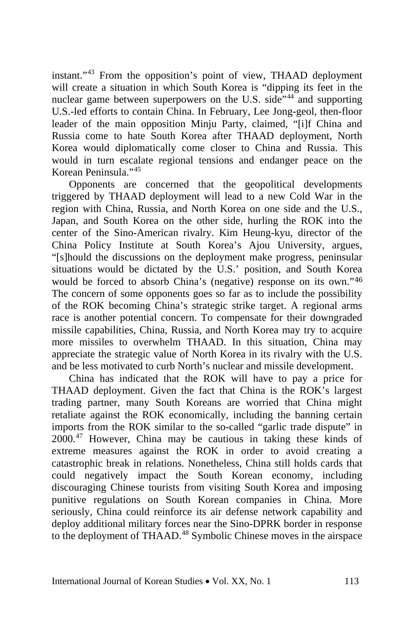instant."[43](#page--1-38) From the opposition's point of view, THAAD deployment will create a situation in which South Korea is "dipping its feet in the nuclear game between superpowers on the U.S. side<sup>7[44](#page--1-39)</sup> and supporting U.S.-led efforts to contain China. In February, Lee Jong-geol, then-floor leader of the main opposition Minju Party, claimed, "[i]f China and Russia come to hate South Korea after THAAD deployment, North Korea would diplomatically come closer to China and Russia. This would in turn escalate regional tensions and endanger peace on the Korean Peninsula<sup>"[45](#page--1-40)</sup>

Opponents are concerned that the geopolitical developments triggered by THAAD deployment will lead to a new Cold War in the region with China, Russia, and North Korea on one side and the U.S., Japan, and South Korea on the other side, hurling the ROK into the center of the Sino-American rivalry. Kim Heung-kyu, director of the China Policy Institute at South Korea's Ajou University, argues, "[s]hould the discussions on the deployment make progress, peninsular situations would be dictated by the U.S.' position, and South Korea would be forced to absorb China's (negative) response on its own."[46](#page--1-41) The concern of some opponents goes so far as to include the possibility of the ROK becoming China's strategic strike target. A regional arms race is another potential concern. To compensate for their downgraded missile capabilities, China, Russia, and North Korea may try to acquire more missiles to overwhelm THAAD. In this situation, China may appreciate the strategic value of North Korea in its rivalry with the U.S. and be less motivated to curb North's nuclear and missile development.

China has indicated that the ROK will have to pay a price for THAAD deployment. Given the fact that China is the ROK's largest trading partner, many South Koreans are worried that China might retaliate against the ROK economically, including the banning certain imports from the ROK similar to the so-called "garlic trade dispute" in 2000.[47](#page--1-42) However, China may be cautious in taking these kinds of extreme measures against the ROK in order to avoid creating a catastrophic break in relations. Nonetheless, China still holds cards that could negatively impact the South Korean economy, including discouraging Chinese tourists from visiting South Korea and imposing punitive regulations on South Korean companies in China. More seriously, China could reinforce its air defense network capability and deploy additional military forces near the Sino-DPRK border in response to the deployment of THAAD.<sup>[48](#page--1-43)</sup> Symbolic Chinese moves in the airspace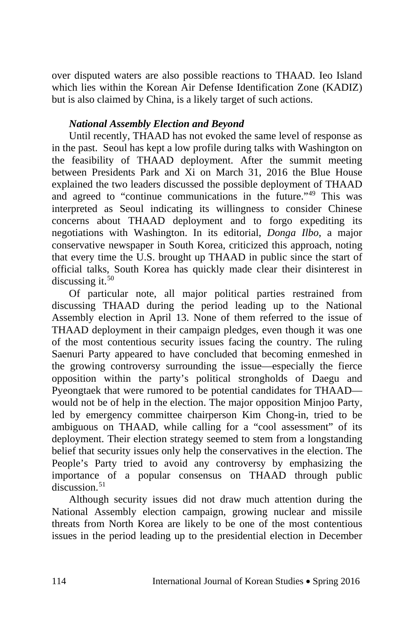over disputed waters are also possible reactions to THAAD. Ieo Island which lies within the Korean Air Defense Identification Zone (KADIZ) but is also claimed by China, is a likely target of such actions.

# *National Assembly Election and Beyond*

Until recently, THAAD has not evoked the same level of response as in the past. Seoul has kept a low profile during talks with Washington on the feasibility of THAAD deployment. After the summit meeting between Presidents Park and Xi on March 31, 2016 the Blue House explained the two leaders discussed the possible deployment of THAAD and agreed to "continue communications in the future."[49](#page--1-44) This was interpreted as Seoul indicating its willingness to consider Chinese concerns about THAAD deployment and to forgo expediting its negotiations with Washington. In its editorial, *Donga Ilbo*, a major conservative newspaper in South Korea, criticized this approach, noting that every time the U.S. brought up THAAD in public since the start of official talks, South Korea has quickly made clear their disinterest in discussing it. $50$ 

Of particular note, all major political parties restrained from discussing THAAD during the period leading up to the National Assembly election in April 13. None of them referred to the issue of THAAD deployment in their campaign pledges, even though it was one of the most contentious security issues facing the country. The ruling Saenuri Party appeared to have concluded that becoming enmeshed in the growing controversy surrounding the issue—especially the fierce opposition within the party's political strongholds of Daegu and Pyeongtaek that were rumored to be potential candidates for THAAD would not be of help in the election. The major opposition Minjoo Party, led by emergency committee chairperson Kim Chong-in, tried to be ambiguous on THAAD, while calling for a "cool assessment" of its deployment. Their election strategy seemed to stem from a longstanding belief that security issues only help the conservatives in the election. The People's Party tried to avoid any controversy by emphasizing the importance of a popular consensus on THAAD through public  $discussion<sup>51</sup>$  $discussion<sup>51</sup>$  $discussion<sup>51</sup>$ 

Although security issues did not draw much attention during the National Assembly election campaign, growing nuclear and missile threats from North Korea are likely to be one of the most contentious issues in the period leading up to the presidential election in December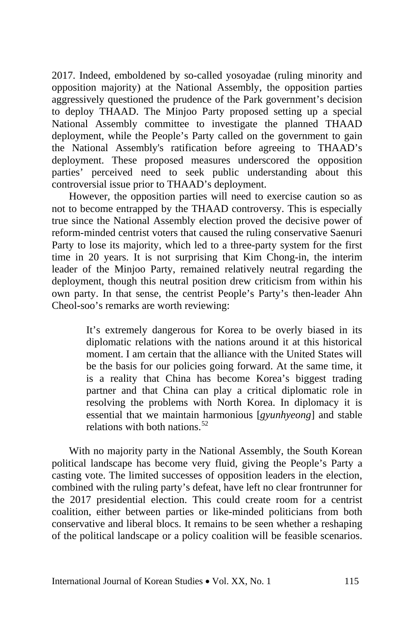2017. Indeed, emboldened by so-called yosoyadae (ruling minority and opposition majority) at the National Assembly, the opposition parties aggressively questioned the prudence of the Park government's decision to deploy THAAD. The Minjoo Party proposed setting up a special National Assembly committee to investigate the planned THAAD deployment, while the People's Party called on the government to gain the National Assembly's ratification before agreeing to THAAD's deployment. These proposed measures underscored the opposition parties' perceived need to seek public understanding about this controversial issue prior to THAAD's deployment.

However, the opposition parties will need to exercise caution so as not to become entrapped by the THAAD controversy. This is especially true since the National Assembly election proved the decisive power of reform-minded centrist voters that caused the ruling conservative Saenuri Party to lose its majority, which led to a three-party system for the first time in 20 years. It is not surprising that Kim Chong-in, the interim leader of the Minjoo Party, remained relatively neutral regarding the deployment, though this neutral position drew criticism from within his own party. In that sense, the centrist People's Party's then-leader Ahn Cheol-soo's remarks are worth reviewing:

> It's extremely dangerous for Korea to be overly biased in its diplomatic relations with the nations around it at this historical moment. I am certain that the alliance with the United States will be the basis for our policies going forward. At the same time, it is a reality that China has become Korea's biggest trading partner and that China can play a critical diplomatic role in resolving the problems with North Korea. In diplomacy it is essential that we maintain harmonious [*gyunhyeong*] and stable relations with both nations.<sup>[52](#page--1-15)</sup>

With no majority party in the National Assembly, the South Korean political landscape has become very fluid, giving the People's Party a casting vote. The limited successes of opposition leaders in the election, combined with the ruling party's defeat, have left no clear frontrunner for the 2017 presidential election. This could create room for a centrist coalition, either between parties or like-minded politicians from both conservative and liberal blocs. It remains to be seen whether a reshaping of the political landscape or a policy coalition will be feasible scenarios.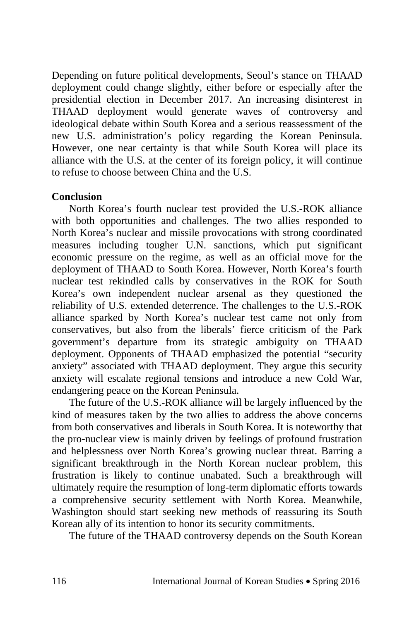Depending on future political developments, Seoul's stance on THAAD deployment could change slightly, either before or especially after the presidential election in December 2017. An increasing disinterest in THAAD deployment would generate waves of controversy and ideological debate within South Korea and a serious reassessment of the new U.S. administration's policy regarding the Korean Peninsula. However, one near certainty is that while South Korea will place its alliance with the U.S. at the center of its foreign policy, it will continue to refuse to choose between China and the U.S.

### **Conclusion**

North Korea's fourth nuclear test provided the U.S.-ROK alliance with both opportunities and challenges. The two allies responded to North Korea's nuclear and missile provocations with strong coordinated measures including tougher U.N. sanctions, which put significant economic pressure on the regime, as well as an official move for the deployment of THAAD to South Korea. However, North Korea's fourth nuclear test rekindled calls by conservatives in the ROK for South Korea's own independent nuclear arsenal as they questioned the reliability of U.S. extended deterrence. The challenges to the U.S.-ROK alliance sparked by North Korea's nuclear test came not only from conservatives, but also from the liberals' fierce criticism of the Park government's departure from its strategic ambiguity on THAAD deployment. Opponents of THAAD emphasized the potential "security anxiety" associated with THAAD deployment. They argue this security anxiety will escalate regional tensions and introduce a new Cold War, endangering peace on the Korean Peninsula.

The future of the U.S.-ROK alliance will be largely influenced by the kind of measures taken by the two allies to address the above concerns from both conservatives and liberals in South Korea. It is noteworthy that the pro-nuclear view is mainly driven by feelings of profound frustration and helplessness over North Korea's growing nuclear threat. Barring a significant breakthrough in the North Korean nuclear problem, this frustration is likely to continue unabated. Such a breakthrough will ultimately require the resumption of long-term diplomatic efforts towards a comprehensive security settlement with North Korea. Meanwhile, Washington should start seeking new methods of reassuring its South Korean ally of its intention to honor its security commitments.

The future of the THAAD controversy depends on the South Korean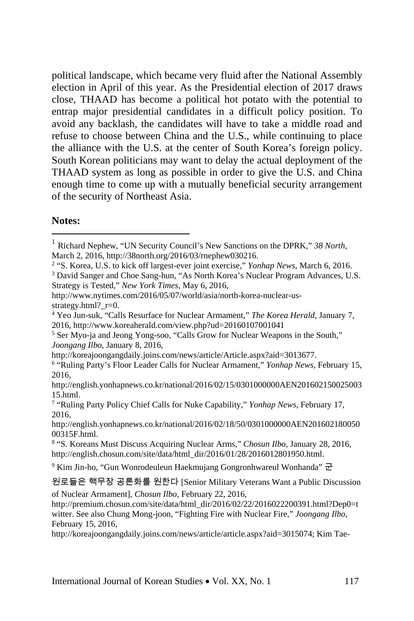political landscape, which became very fluid after the National Assembly election in April of this year. As the Presidential election of 2017 draws close, THAAD has become a political hot potato with the potential to entrap major presidential candidates in a difficult policy position. To avoid any backlash, the candidates will have to take a middle road and refuse to choose between China and the U.S., while continuing to place the alliance with the U.S. at the center of South Korea's foreign policy. South Korean politicians may want to delay the actual deployment of the THAAD system as long as possible in order to give the U.S. and China enough time to come up with a mutually beneficial security arrangement of the security of Northeast Asia.

## **Notes:**

<sup>2</sup> "S. Korea, U.S. to kick off largest-ever joint exercise," *Yonhap News*, March 6, 2016.

<sup>4</sup> Yeo Jun-suk, "Calls Resurface for Nuclear Armament," *The Korea Herald*, January 7, 2016, http://www.koreaherald.com/view.php?ud=20160107001041

http://koreajoongangdaily.joins.com/news/article/Article.aspx?aid=3013677.

http://english.yonhapnews.co.kr/national/2016/02/18/50/0301000000AEN201602180050 00315F.html.

 <sup>1</sup> Richard Nephew, "UN Security Council's New Sanctions on the DPRK," *38 North*, March 2, 2016, http://38north.org/2016/03/rnephew030216.

<sup>&</sup>lt;sup>3</sup> David Sanger and Choe Sang-hun, "As North Korea's Nuclear Program Advances, U.S. Strategy is Tested," *New York Times*, May 6, 2016,

http://www.nytimes.com/2016/05/07/world/asia/north-korea-nuclear-usstrategy.html?\_r=0.

<sup>5</sup> Ser Myo-ja and Jeong Yong-soo, "Calls Grow for Nuclear Weapons in the South," *Joongang Ilbo*, January 8, 2016,

<sup>6</sup> "Ruling Party's Floor Leader Calls for Nuclear Armament," *Yonhap News*, February 15, 2016,

http://english.yonhapnews.co.kr/national/2016/02/15/0301000000AEN201602150025003 15.html.

<sup>7</sup> "Ruling Party Policy Chief Calls for Nuke Capability," *Yonhap News*, February 17, 2016,

<sup>8</sup> "S. Koreans Must Discuss Acquiring Nuclear Arms," *Chosun Ilbo*, January 28, 2016, http://english.chosun.com/site/data/html\_dir/2016/01/28/2016012801950.html.

<sup>9</sup> Kim Jin-ho, "Gun Wonrodeuleun Haekmujang Gongronhwareul Wonhanda" 군

원로들은 핵무장 공론화를 원한다 [Senior Military Veterans Want a Public Discussion of Nuclear Armament], *Chosun Ilbo*, February 22, 2016,

http://premium.chosun.com/site/data/html\_dir/2016/02/22/2016022200391.html?Dep0=t witter. See also Chung Mong-joon, "Fighting Fire with Nuclear Fire," *Joongang Ilbo*, February 15, 2016,

http://koreajoongangdaily.joins.com/news/article/article.aspx?aid=3015074; Kim Tae-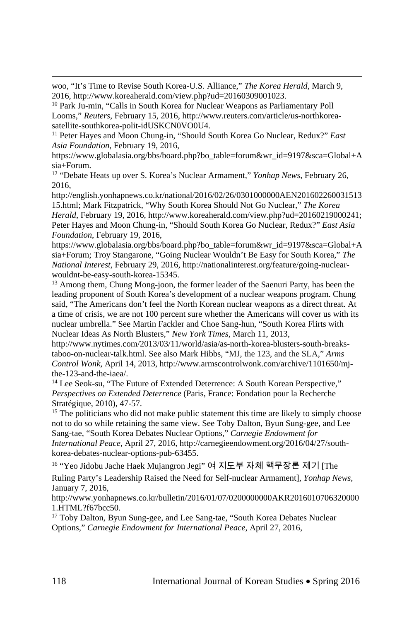woo, "It's Time to Revise South Korea-U.S. Alliance," *The Korea Herald*, March 9, 2016, http://www.koreaherald.com/view.php?ud=20160309001023.

<sup>10</sup> Park Ju-min, "Calls in South Korea for Nuclear Weapons as Parliamentary Poll Looms," *Reuters*, February 15, 2016, http://www.reuters.com/article/us-northkoreasatellite-southkorea-polit-idUSKCN0VO0U4.

<sup>11</sup> Peter Hayes and Moon Chung-in, "Should South Korea Go Nuclear, Redux?" *East Asia Foundation*, February 19, 2016,

https://www.globalasia.org/bbs/board.php?bo\_table=forum&wr\_id=9197&sca=Global+A sia+Forum.

<sup>12</sup> "Debate Heats up over S. Korea's Nuclear Armament," *Yonhap News*, February 26, 2016,

http://english.yonhapnews.co.kr/national/2016/02/26/0301000000AEN201602260031513 15.html; Mark Fitzpatrick, "Why South Korea Should Not Go Nuclear," *The Korea Herald*, February 19, 2016, http://www.koreaherald.com/view.php?ud=20160219000241; Peter Hayes and Moon Chung-in, "Should South Korea Go Nuclear, Redux?" *East Asia Foundation*, February 19, 2016,

https://www.globalasia.org/bbs/board.php?bo\_table=forum&wr\_id=9197&sca=Global+A sia+Forum; Troy Stangarone, "Going Nuclear Wouldn't Be Easy for South Korea," *The National Interest*, February 29, 2016, http://nationalinterest.org/feature/going-nuclearwouldnt-be-easy-south-korea-15345.

<sup>13</sup> Among them, Chung Mong-joon, the former leader of the Saenuri Party, has been the leading proponent of South Korea's development of a nuclear weapons program. Chung said, "The Americans don't feel the North Korean nuclear weapons as a direct threat. At a time of crisis, we are not 100 percent sure whether the Americans will cover us with its nuclear umbrella." See Martin Fackler and Choe Sang-hun, "South Korea Flirts with Nuclear Ideas As North Blusters," *New York Times*, March 11, 2013,

http://www.nytimes.com/2013/03/11/world/asia/as-north-korea-blusters-south-breakstaboo-on-nuclear-talk.html. See also Mark Hibbs, "MJ, the 123, and the SLA," *Arms Control Wonk,* April 14, 2013, http://www.armscontrolwonk.com/archive/1101650/mjthe-123-and-the-iaea/.

<sup>14</sup> Lee Seok-su, ["The Future of Extended Deterrence: A South Korean Perspective,](http://www.isn.ethz.ch/Digital-Library/Publications/Detail/?lang=en&id=116468)" *Perspectives on Extended Deterrence* (Paris, France: Fondation pour la Recherche Stratégique, 2010), 47-57.

<sup>15</sup> The politicians who did not make public statement this time are likely to simply choose not to do so while retaining the same view. See Toby Dalton, Byun Sung-gee, and Lee Sang-tae, "South Korea Debates Nuclear Options," *Carnegie Endowment for International Peace*, April 27, 2016, http://carnegieendowment.org/2016/04/27/southkorea-debates-nuclear-options-pub-63455.

<sup>16</sup> "Yeo Jidobu Jache Haek Mujangron Jegi" 여 지도부 자체 핵무장론 제기 [The

Ruling Party's Leadership Raised the Need for Self-nuclear Armament], *Yonhap News*, January 7, 2016,

http://www.yonhapnews.co.kr/bulletin/2016/01/07/0200000000AKR2016010706320000 1.HTML?f67bcc50.

<sup>17</sup> Toby Dalton, Byun Sung-gee, and Lee Sang-tae, "South Korea Debates Nuclear Options," *Carnegie Endowment for International Peace*, April 27, 2016,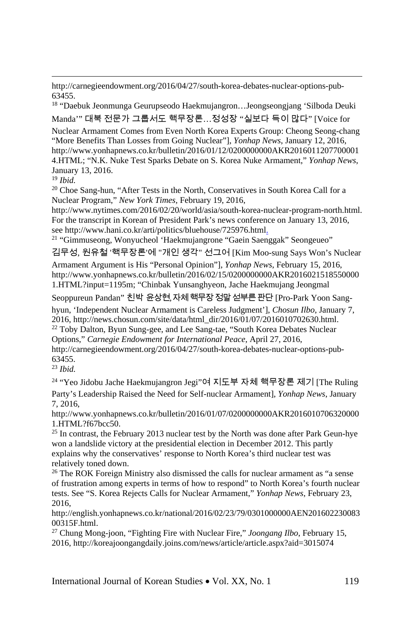http://carnegieendowment.org/2016/04/27/south-korea-debates-nuclear-options-pub-63455.

<sup>18</sup> "Daebuk Jeonmunga Geurupseodo Haekmujangron…Jeongseongjang 'Silboda Deuki Manda'" 대북 전문가 그룹서도 핵무장론…정성장 "실보다 득이 많다" [Voice for

Nuclear Armament Comes from Even North Korea Experts Group: Cheong Seong-chang "More Benefits Than Losses from Going Nuclear"], *Yonhap News*, January 12, 2016, http://www.yonhapnews.co.kr/bulletin/2016/01/12/0200000000AKR2016011207700001 4.HTML; "N.K. Nuke Test Sparks Debate on S. Korea Nuke Armament," *Yonhap News*, January 13, 2016.

<sup>19</sup> *Ibid.*

<sup>20</sup> Choe Sang-hun, "After Tests in the North, Conservatives in South Korea Call for a Nuclear Program," *New York Times,* February 19, 2016,

http://www.nytimes.com/2016/02/20/world/asia/south-korea-nuclear-program-north.html. For the transcript in Korean of President Park's news conference on January 13, 2016, see http://www.hani.co.kr/arti/politics/bluehouse/725976.html.<br><sup>21</sup> "Gimmuseong, Wonyucheol 'Haekmujangrone "Gaein Saenggak" Seongeueo"

김무성, 원유철 '핵무장론'에 "개인 생각" 선그어 [Kim Moo-sung Says Won's Nuclear

Armament Argument is His "Personal Opinion"], *Yonhap News*, February 15, 2016, http://www.yonhapnews.co.kr/bulletin/2016/02/15/0200000000AKR2016021518550000 1.HTML?input=1195m; "Chinbak Yunsanghyeon, Jache Haekmujang Jeongmal

Seoppureun Pandan" 친박 윤상현, 자체핵무장정말섣부른판단 [Pro-Park Yoon Sang-

hyun, 'Independent Nuclear Armament is Careless Judgment'], *Chosun Ilbo*, January 7, 2016, http://news.chosun.com/site/data/html\_dir/2016/01/07/2016010702630.html. <sup>22</sup> Toby Dalton, Byun Sung-gee, and Lee Sang-tae, "South Korea Debates Nuclear

Options," *Carnegie Endowment for International Peace*, April 27, 2016, http://carnegieendowment.org/2016/04/27/south-korea-debates-nuclear-options-pub-63455.

<sup>23</sup> *Ibid.*

<sup>24</sup> "Yeo Jidobu Jache Haekmujangron Jegi"여 지도부 자체 핵무장론 제기 [The Ruling Party's Leadership Raised the Need for Self-nuclear Armament], *Yonhap News*, January 7, 2016,

http://www.yonhapnews.co.kr/bulletin/2016/01/07/0200000000AKR2016010706320000 1.HTML?f67bcc50.

 $25$  In contrast, the February 2013 nuclear test by the North was done after Park Geun-hye won a landslide victory at the presidential election in December 2012. This partly explains why the conservatives' response to North Korea's third nuclear test was relatively toned down.

<sup>26</sup> The ROK Foreign Ministry also dismissed the calls for nuclear armament as "a sense of frustration among experts in terms of how to respond" to North Korea's fourth nuclear tests. See "S. Korea Rejects Calls for Nuclear Armament," *Yonhap News*, February 23, 2016,

http://english.yonhapnews.co.kr/national/2016/02/23/79/0301000000AEN201602230083 00315F.html.

<sup>27</sup> Chung Mong-joon, "Fighting Fire with Nuclear Fire," *Joongang Ilbo*, February 15, 2016, http://koreajoongangdaily.joins.com/news/article/article.aspx?aid=3015074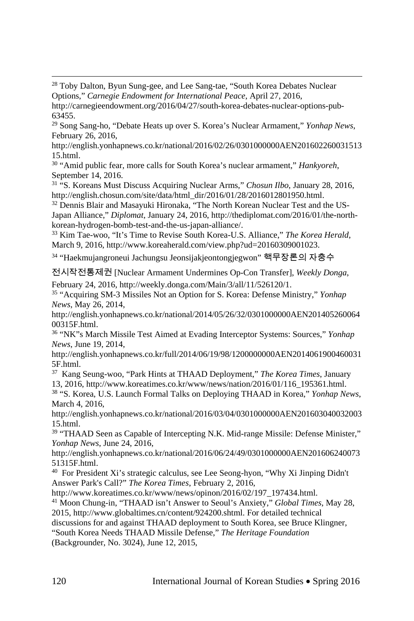<sup>28</sup> Toby Dalton, Byun Sung-gee, and Lee Sang-tae, "South Korea Debates Nuclear Options," *Carnegie Endowment for International Peace*, April 27, 2016,

http://carnegieendowment.org/2016/04/27/south-korea-debates-nuclear-options-pub-63455.

<sup>29</sup> Song Sang-ho, "Debate Heats up over S. Korea's Nuclear Armament," *Yonhap News*, February 26, 2016,

http://english.yonhapnews.co.kr/national/2016/02/26/0301000000AEN201602260031513 15.html.

<sup>30</sup> "Amid public fear, more calls for South Korea's nuclear armament," *Hankyoreh*, September 14, 2016.

<sup>31</sup> "S. Koreans Must Discuss Acquiring Nuclear Arms," *Chosun Ilbo*, January 28, 2016, http://english.chosun.com/site/data/html\_dir/2016/01/28/2016012801950.html.

<sup>32</sup> Dennis Blair and Masayuki Hironaka, "The North Korean Nuclear Test and the US-Japan Alliance," *Diplomat*, January 24, 2016, http://thediplomat.com/2016/01/the-northkorean-hydrogen-bomb-test-and-the-us-japan-alliance/.

<sup>33</sup> Kim Tae-woo, "It's Time to Revise South Korea-U.S. Alliance," *The Korea Herald*, March 9, 2016, http://www.koreaherald.com/view.php?ud=20160309001023.

<sup>34</sup> "Haekmujangroneui Jachungsu Jeonsijakjeontongjegwon" 핵무장론의 자충수

전시작전통제권 [Nuclear Armament Undermines Op-Con Transfer], *Weekly Donga*, February 24, 2016, http://weekly.donga.com/Main/3/all/11/526120/1.

<sup>35</sup> "Acquiring SM-3 Missiles Not an Option for S. Korea: Defense Ministry," *Yonhap News*, May 26, 2014,

http://english.yonhapnews.co.kr/national/2014/05/26/32/0301000000AEN201405260064 00315F.html.

<sup>36</sup> "NK"s March Missile Test Aimed at Evading Interceptor Systems: Sources," *Yonhap News*, June 19, 2014,

http://english.yonhapnews.co.kr/full/2014/06/19/98/1200000000AEN2014061900460031 5F.html.

<sup>37</sup> Kang Seung-woo, "Park Hints at THAAD Deployment," *The Korea Times*, January 13, 2016, http://www.koreatimes.co.kr/www/news/nation/2016/01/116\_195361.html. <sup>38</sup> "S. Korea, U.S. Launch Formal Talks on Deploying THAAD in Korea," *Yonhap News*,

March 4, 2016,

http://english.yonhapnews.co.kr/national/2016/03/04/0301000000AEN201603040032003 15.html.

<sup>39</sup> "THAAD Seen as Capable of Intercepting N.K. Mid-range Missile: Defense Minister," *Yonhap News*, June 24, 2016,

http://english.yonhapnews.co.kr/national/2016/06/24/49/0301000000AEN201606240073 51315F.html.

<sup>40</sup> For President Xi's strategic calculus, see Lee Seong-hyon, "Why Xi Jinping Didn't Answer Park's Call?" *The Korea Times*, February 2, 2016,

http://www.koreatimes.co.kr/www/news/opinon/2016/02/197\_197434.html.

<sup>41</sup> Moon Chung-in, "THAAD isn't Answer to Seoul's Anxiety," *Global Times*, May 28, 2015, http://www.globaltimes.cn/content/924200.shtml. For detailed technical

discussions for and against THAAD deployment to South Korea, see Bruce Klingner,

"South Korea Needs THAAD Missile Defense," *The Heritage Foundation* (Backgrounder, No. 3024), June 12, 2015,